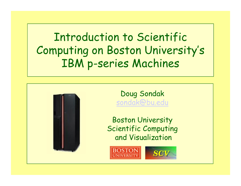Introduction to Scientific Computing on Boston University's IBM p-series Machines



Doug Sondak [sondak@bu.edu](mailto:sondak@bu.edu)

Boston University Scientific Computing and Visualization



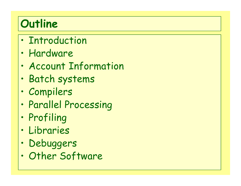#### **Outline**

- •· Introduction
- •Hardware
- $\bullet$ Account Information
- •Batch systems
- •Compilers
- $\bullet$ Parallel Processing
- •Profiling
- •Libraries
- $\bullet$ Debuggers
- •Other Software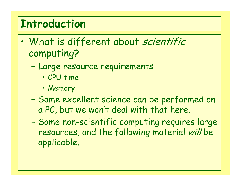#### **Introduction**

- $\bullet$ • What is different about scientific computing?
	- – Large resource requirements
		- CPU time
		- Memory
	- – Some excellent science can be performed on a PC, but we won't deal with that here.
	- –- Some non-scientific computing requires large resources, and the following material will be applicable.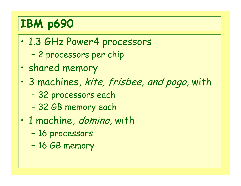### **IBM p690**

- $\bullet$  1.3 GHz Power4 processors
	- –2 processors per chip
- •shared memory
- • 3 machines, kite, frisbee, and pogo, with
	- –32 processors each
	- –32 GB memory each
- •• 1 machine, *domino*, with
	- –16 processors
	- –16 GB memory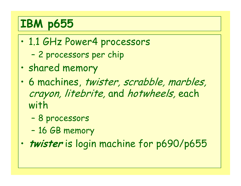#### **IBM p655**

- $\bullet$  1.1 GHz Power4 processors
	- –2 processors per chip
- •shared memory
- • 6 machines, twister, scrabble, marbles, crayon, litebrite, and hotwheels, each with
	- –8 processors
	- –16 GB memory
- $\bullet$ **twister** is login machine for p690/p655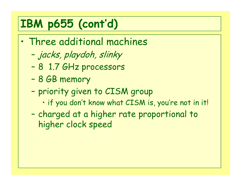#### **IBM p655 (cont'd)**

- $\bullet$  Three additional machines
	- –jacks, playdoh, slinky
	- –8 1.7 GHz processors
	- –8 GB memory
	- –- priority given to CISM group
		- if you don't know what CISM is, you're not in it!
	- – charged at a higher rate proportional to higher clock speed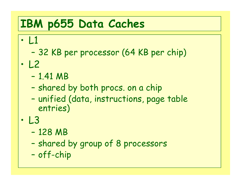#### **IBM p655 Data Caches**

- • L 1
	- –32 KB per processor (64 KB per chip)
- $\bullet$  L 2
	- –1.41 MB
	- –- shared by both procs. on a chip
	- –- unified (data, instructions, page table entries)
- $\bullet$  L 3
	- –128 MB
	- –shared by group of 8 processors
	- –off-chip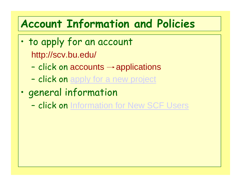#### **Account Information and Policies**

- $\bullet$ . to apply for an account http://scv.bu.edu/
	- –- click on accounts  $\rightarrow$  applications
	- –- click on [apply for a new project](https://acct.bu.edu/cgi-bin/perl/postpiappl.pl)
- • general information
	- –- click on [Information for New SCF Users](http://scv.bu.edu/shadow/SCVDev/accounts/user-information.html)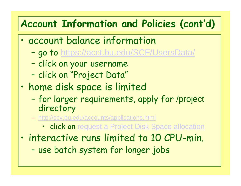#### **Account Information and Policies (cont'd)**

- • account balance information
	- –go to <https://acct.bu.edu/SCF/UsersData/>
	- –- click on your username
	- –- click on "Project Data"
- $\bullet$  home disk space is limited
	- – for larger requirements, apply for /project directory
	- <http://scv.bu.edu/accounts/applications.html>
		- click on [request a Project Disk Space allocation](https://acct.bu.edu/SCF/PI/)
- • interactive runs limited to 10 CPU-min.
	- –use batch system for longer jobs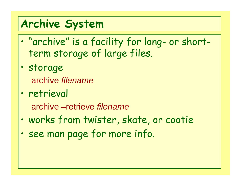#### **Archive System**

- $\bullet$  "archive" is a facility for long- or shortterm storage of large files.
- storage archive *filename*
- •· retrieval

archive –retrieve *filename*

- $\bullet$ works from twister, skate, or cootie
- $\bullet$ see man page for more info.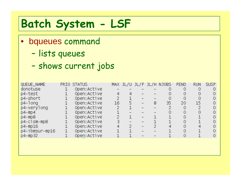#### **Batch System - LSF**

- bqueues command
	- –- lists queues
	- –shows current jobs

| QUEUE_NAME        | PRIO STATUS  |    |   |                |   | MAX JL/U JL/P JL/H NJOBS | <b>PEND</b> | <b>RUN</b> | <b>SUSP</b> |
|-------------------|--------------|----|---|----------------|---|--------------------------|-------------|------------|-------------|
| donotuse          | Open: Active |    |   |                |   |                          |             |            |             |
| p4-test           | Open: Active |    |   |                |   |                          |             |            |             |
| p4-short          | Open: Active |    |   | $\overline{a}$ |   |                          | 0           |            |             |
| $p4-1$ ong        | Open: Active | 16 | 5 | $\overline{a}$ | 8 | 35                       | 20          | 15         |             |
| p4-verylong       | Open: Active |    |   | -              |   |                          | 0           |            |             |
| $p4-mp4$          | Open: Active |    |   | $\equiv$       |   |                          |             |            |             |
| $p4-mp8$          | Open: Active |    |   | L,             |   |                          | 0           |            |             |
| $p4-$ cism-m $p8$ | Open: Active |    |   | L.             |   |                          | 0           |            |             |
| $p4-mp16$         | Open: Active |    | 2 | $\equiv$       |   |                          |             |            |             |
| p4-ibmsur-mp16    | Open: Active |    |   | $\overline{a}$ |   |                          | 0           |            |             |
| $p4-mp32$         | Open: Active |    |   |                |   |                          | 0           |            |             |
|                   |              |    |   |                |   |                          |             |            |             |
|                   |              |    |   |                |   |                          |             |            |             |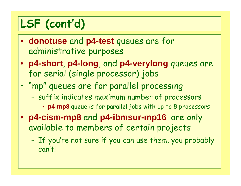# **LSF (cont'd)**

- **donotuse** and **p4-test** queues are for administrative purposes
- **p4-short**, **p4-long**, and **p4-verylong** queues are for serial (single processor) jobs
- • "mp" queues are for parallel processing
	- – suffix indicates maximum number of processors
		- **p4-mp8** queue is for parallel jobs with up to 8 processors
- **p4-cism-mp8** and **p4-ibmsur-mp16** are only available to members of certain projects
	- –- If you're not sure if you can use them, you probably can't!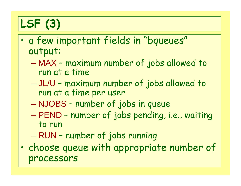# **LSF (3)**

- • a few important fields in "bqueues" output:
	- $\mathcal{L}_{\mathcal{A}}$  MAX – maximum number of jobs allowed to run at a time
	- – JL/U – maximum number of jobs allowed to run at a time per user
	- NJOBS number of jobs in queue
	- $\mathcal{L}_{\mathcal{A}}$  PEND – number of jobs pending, i.e., waiting to run
	- –RUN – number of jobs running
- • choose queue with appropriate number of processors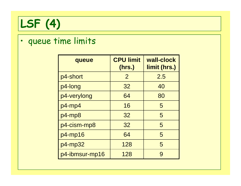

#### •queue time limits

| queue          | <b>CPU limit</b><br>(hrs.) | wall-clock<br>limit (hrs.) |
|----------------|----------------------------|----------------------------|
| p4-short       | $\overline{2}$             | 2.5                        |
| p4-long        | 32                         | 40                         |
| p4-verylong    | 64                         | 80                         |
| $p4$ -mp4      | 16                         | 5                          |
| $p4$ -mp $8$   | 32                         | 5                          |
| p4-cism-mp8    | 32                         | 5                          |
| $p4$ -mp16     | 64                         | 5                          |
| p4-mp32        | 128                        | 5                          |
| p4-ibmsur-mp16 | 128                        | 9                          |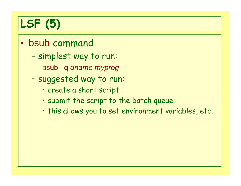# **LSF (5)**

- bsub command
	- – simplest way to run:
		- bsub –q *qname myprog*
	- – suggested way to run:
		- create a short script
		- submit the script to the batch queue
		- this allows you to set environment variables, etc.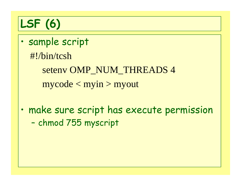# **LSF (6)**

- • sample script #!/bin/tcshseteny OMP\_NUM\_THREADS 4  $mycode < min > myout$
- $\bullet$  make sure script has execute permission –- chmod 755 myscript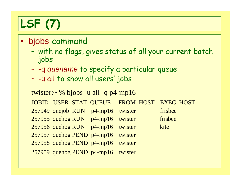# **LSF (7)**

#### $\bullet$ bjobs command

- – with no flags, gives status of all your current batch jobs
- –-q *quename* to specify a particular queue
- –- -u all to show all users' jobs

```
twister:\sim % bjobs -u all -q p4-mp16
JOBID USER STAT QUEUE FROM_HOST EXEC_HOST
257949 onejob RUN p4-mp16 twister frisbee
257955 quehog RUN p4-mp16 twister frisbee
257956 quehog RUN p4-mp16 twister kite
257957 quehog PEND p4-mp16 twister 
257958 quehog PEND p4-mp16 twister 
257959 quehog PEND p4-mp16 twister
```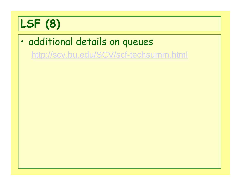# **LSF (8)**

 $\bullet$  additional details on queues <http://scv.bu.edu/SCV/scf-techsumm.html>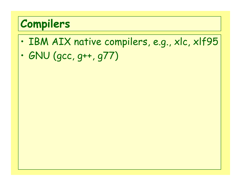#### **Compilers**

- $\bullet$ · IBM AIX native compilers, e.g., xlc, xlf95
- $\bullet$ GNU (gcc, g++, g77)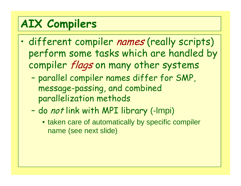#### **AIX Compilers**

- $\bullet$ · different compiler names (really scripts) perform some tasks which are handled by compiler flags on many other systems
	- – parallel compiler names differ for SMP, message-passing, and combined parallelization methods
	- –do *not* link with MPI library (-Impi)
		- taken care of automatically by specific compiler name (see next slide)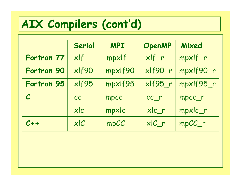#### **AIX Compilers (cont'd)**

|                            | Serial    | <b>MPI</b> | <b>OpenMP</b>                  | Mixed     |
|----------------------------|-----------|------------|--------------------------------|-----------|
| Fortran 77                 | x         | mpxlf      | xlf_r                          | mpxlf_r   |
| Fortran 90                 | xlf90     | mpxlf90    | xlf90_r                        | mpxlf90_r |
| Fortran 95                 | $x$ If95  | mpxlf95    | xlf95_r                        | mpxlf95_r |
| $\boldsymbol{\mathcal{C}}$ | <b>CC</b> | mpcc       | $cc$ <sub><math>r</math></sub> | mpcc_r    |
|                            | xlc       | mpxlc      | xlc_r                          | mpxlc_r   |
| $C++$                      | x C       | mpCC       | $x C_r$                        | mpCC_r    |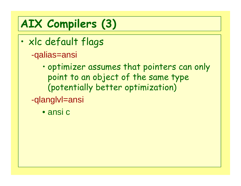# **AIX Compilers (3)**

- $\bullet$  xlc default flags -qalias=ansi
	- • optimizer assumes that pointers can only point to an object of the same type (potentially better optimization)
	- -qlanglvl=ansi
		- ansi c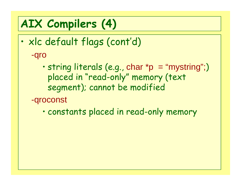## **AIX Compilers (4)**

- • xlc default flags (cont'd) -qro
	- • string literals (e.g., char \*p = "mystring";) placed in "read-only" memory (text segment); cannot be modified
	- -qroconst
		- •constants placed in read-only memory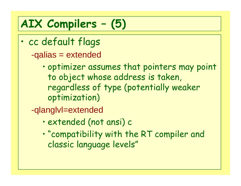# **AIX Compilers – (5)**

- $\bullet$  cc default flags -qalias = extended
	- • optimizer assumes that pointers may point to object whose address is taken, regardless of type (potentially weaker optimization)
	- -qlanglvl=extended
		- •extended (not ansi) c
		- • "compatibility with the RT compiler and classic language levels"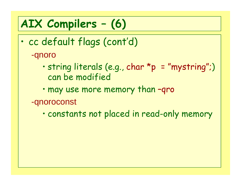# **AIX Compilers – (6)**

- $\bullet$  cc default flags (cont'd) -qnoro
	- • string literals (e.g., char \*p = "mystring"; ) can be modified
	- •may use more memory than –qro
	- -qnoroconst
		- •constants not placed in read-only memory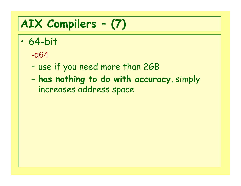# **AIX Compilers – (7)**

- $\bullet$  64-bit
	- -q64
	- –- use if you need more than 2GB
	- – **has nothing to do with accuracy**, simply increases address space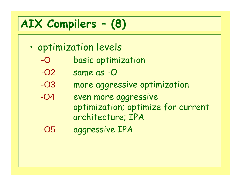#### **AIX Compilers – (8)**

- $\bullet$ · optimization levels
	- -Obasic optimization
	- $-O2$ same as -O
	- -O3more aggressive optimization
	- -O4 even more aggressive optimization; optimize for current architecture; IPA
	- -O5aggressive IPA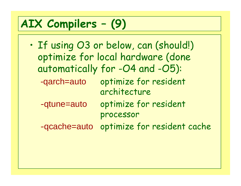#### **AIX Compilers – (9)**

 $\bullet$ 

. If using O3 or below, can (should!) optimize for local hardware (done automatically for -O4 and -O5): -qarch=auto optimize for resident architecture -qtune=auto optimize for resident processor -qcache=auto optimize for resident cache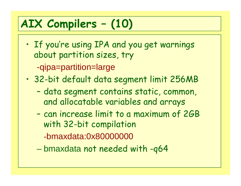# **AIX Compilers – (10)**

• If you're using IPA and you get warnings about partition sizes, try

-qipa=partition=large

- • 32-bit default data segment limit 256MB
	- –- data segment contains static, common, and allocatable variables and arrays
	- – can increase limit to a maximum of 2GB with 32-bit compilation

-bmaxdata:0x80000000

bmaxdata not needed with -q64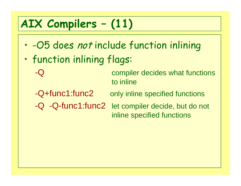# **AIX Compilers – (11)**

- $\bullet$ . - O5 does not include function inlining
- $\bullet$  function inlining flags:
	- -Q compiler decides what functions to inline
	-
	- -Q+func1:func2 only inline specified functions
	-
	- -Q -Q-func1:func2 let compiler decide, but do not inline specified functions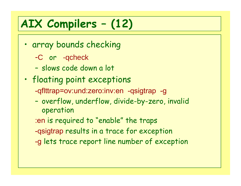# **AIX Compilers – (12)**

- • array bounds checking
	- -C or -qcheck
	- slows code down a lot
- •· floating point exceptions -qflttrap=ov:und:zero:inv:en -qsigtrap -g
	- –- overflow, underflow, divide-by-zero, invalid operation
	- :en is required to "enable" the traps
	- -qsigtrap results in a trace for exception
	- -g lets trace report line number of exception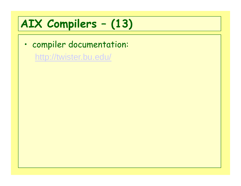#### **AIX Compilers – (13)**

• compiler documentation: <http://twister.bu.edu/>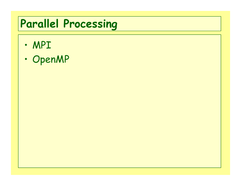# **Parallel Processing**

- $\bullet$ MPI
- $\bullet$ OpenMP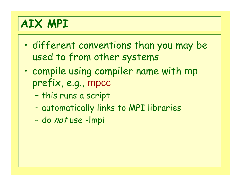#### **AIX MPI**

- $\bullet$  different conventions than you may be used to from other systems
- • compile using compiler name with mp prefix, e.g., mpcc
	- –- this runs a script
	- –automatically links to MPI libraries
	- –do not use -lmpi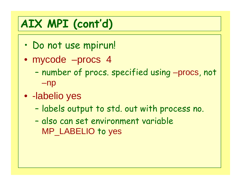#### **AIX MPI (cont'd)**

- $\bullet$ Do not use mpirun!
- mycode –procs 4
	- – number of procs. specified using –procs, not –np
- -labelio yes
	- –- labels output to std. out with process no.
	- – also can set environment variable MP\_LABELIO to yes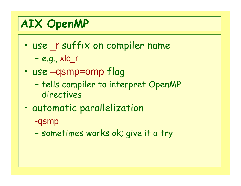#### **AIX OpenMP**

- use \_<sup>r</sup> suffix on compiler name –e.g., xlc\_r
- $\bullet$  use –qsmp=omp flag
	- –- tells compiler to interpret OpenMP directives
- •automatic parallelization

-qsmp

–sometimes works ok; give it a try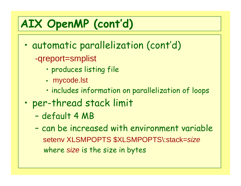### **AIX OpenMP (cont'd)**

- $\bullet$  automatic parallelization (cont'd) -qreport=smplist
	- produces listing file
	- mycode.lst
	- includes information on parallelization of loops
- $\bullet$  per-thread stack limit
	- –default 4 MB
	- –- can be increased with environment variable setenv XLSMPOPTS \$XLSMPOPTS\:stack=*size* where *size* is the size in bytes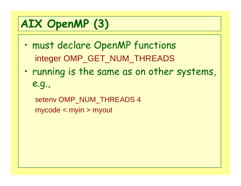# **AIX OpenMP (3)**

- $\bullet$  must declare OpenMP functions integer OMP\_GET\_NUM\_THREADS
- • running is the same as on other systems, e.g.,

setenv OMP\_NUM\_THREADS 4 mycode < myin > myout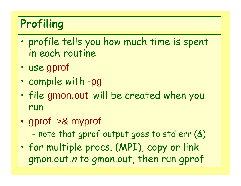#### **Profiling**

- $\bullet$  profile tells you how much time is spent in each routine
- •use gprof
- •compile with -pg
- • file gmon.out will be created when you run
- gprof >& myprof

–- note that gprof output goes to std err  $(\&)$ 

• for multiple procs. (MPI), copy or link gmon.out.n to gmon.out, then run gprof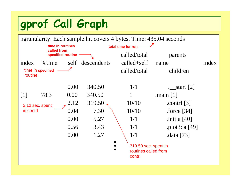### **gprof Call Graph**

| ngranularity: Each sample hit covers 4 bytes. Time: 435.04 seconds |                                 |      |                    |                                                        |                           |       |
|--------------------------------------------------------------------|---------------------------------|------|--------------------|--------------------------------------------------------|---------------------------|-------|
|                                                                    | time in routines<br>called from |      | total time for run |                                                        |                           |       |
| specified routine                                                  |                                 |      |                    | called/total                                           | parents                   |       |
| index                                                              | $\%$ time                       |      | self descendents   | $cal$ -called+self                                     | name                      | index |
| time in specified<br>routine                                       |                                 |      |                    | called/total                                           | children                  |       |
|                                                                    |                                 | 0.00 | 340.50             | 1/1                                                    | $\frac{-}{2}$ start [2]   |       |
| $[1]$                                                              | 78.3                            | 0.00 | 340.50             |                                                        | .main $[1]$               |       |
| 2.12 sec. spent                                                    |                                 | 2.12 | 319.50             | 10/10                                                  | .contrl $\lceil 3 \rceil$ |       |
| in contrl                                                          |                                 | 0.04 | 7.30               | 10/10                                                  | $f$ orce [34]             |       |
|                                                                    |                                 | 0.00 | 5.27               | 1/1                                                    | .initia $[40]$            |       |
|                                                                    |                                 | 0.56 | 3.43               | 1/1                                                    | .plot3da [49]             |       |
|                                                                    |                                 | 0.00 | 1.27               | 1/1                                                    | .data [73]                |       |
|                                                                    |                                 |      |                    | 319.50 sec. spent in<br>routines called from<br>contrl |                           |       |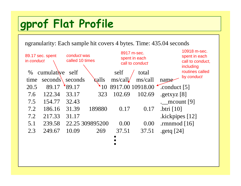### **gprof Flat Profile**

ngranularity: Each sample hit covers 4 bytes. Time: 435.04 seconds

| in conduct | 89.17 sec. spent | conduct was<br>called 10 times |                 | 8917 m-sec.      | spent in each<br>call to conduct |                 | 10918 m-sec.<br>spent in each<br>call to conduct,<br>including<br>routines called |
|------------|------------------|--------------------------------|-----------------|------------------|----------------------------------|-----------------|-----------------------------------------------------------------------------------|
| $\%$       | cumulative       | self                           |                 | self             | total                            |                 | by conduct                                                                        |
| time       | seconds          | seconds                        | calls           | ms/call/         | ms/call                          | name            |                                                                                   |
| 20.5       | 89.17            | 89.17                          | 10              | 8917.00 10918.00 |                                  | .conduct $[5]$  |                                                                                   |
| 7.6        | 122.34           | 33.17                          | 323             | 102.69           | 102.69                           | .getxyz $[8]$   |                                                                                   |
| 7.5        | 154.77           | 32.43                          |                 |                  |                                  |                 | mcount $[9]$                                                                      |
| 7.2        | 186.16           | 31.39                          | 189880          | 0.17             | 0.17                             | .btri $[10]$    |                                                                                   |
| 7.2        | 217.33           | 31.17                          |                 |                  |                                  | .kickpipes [12] |                                                                                   |
| 5.1        | 239.58           |                                | 22.25 309895200 | 0.00             | 0.00                             | .rmnmod $[16]$  |                                                                                   |
| 2.3        | 249.67           | 10.09                          | 269             | 37.51            | 37.51                            | .getq $[24]$    |                                                                                   |
|            |                  |                                |                 |                  |                                  |                 |                                                                                   |
|            |                  |                                |                 |                  |                                  |                 |                                                                                   |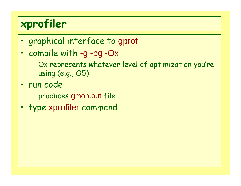#### **xprofiler**

- •graphical interface to gprof
- • compile with -g -pg -Ox
	- Ox represents whatever level of optimization you're using (e.g., O5)
- • run code
	- –produces gmon.out file
- •type xprofiler command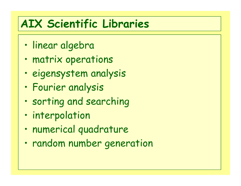#### **AIX Scientific Libraries**

- $\bullet$ • linear algebra
- $\bullet$ matrix operations
- •eigensystem analysis
- •Fourier analysis
- •sorting and searching
- •interpolation
- •numerical quadrature
- $\bullet$ random number generation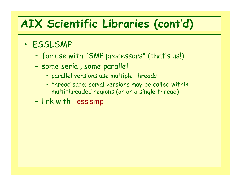#### **AIX Scientific Libraries (cont'd)**

- • ESSLSMP
	- –for use with "SMP processors" (that's us!)
	- –- some serial, some parallel
		- parallel versions use multiple threads
		- thread safe; serial versions may be called within multithreaded regions (or on a single thread)
	- –- link with -lesslsmp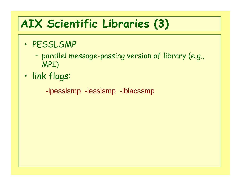#### **AIX Scientific Libraries (3)**

- • PESSLSMP
	- – parallel message-passing version of library (e.g., MPI)
- •link flags:

-lpesslsmp -lesslsmp -lblacssmp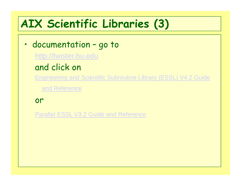#### **AIX Scientific Libraries (3)**

- • documentation – go to
	- [http://twister.bu.edu](http://twister.bu.edu/)
	- and click on
	- [Engineering and Scientific Subroutine Library \(ESSL\) V4.2 Guide](http://publib.boulder.ibm.com/infocenter/clresctr/topic/com.ibm.cluster.essl.doc/essl_linux422/am50140302.html) 
		- [and Reference](http://publib.boulder.ibm.com/infocenter/clresctr/topic/com.ibm.cluster.essl.doc/essl_linux422/am50140302.html)
	- or
	- [Parallel ESSL V3.2 Guide and Reference](http://publib.boulder.ibm.com/infocenter/clresctr/topic/com.ibm.cluster.essl.doc/pessl_aix32/am60130302.html)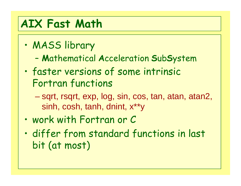#### **AIX Fast Math**

- $\bullet$  MASS library
	- –**M**athematical **A**cceleration **S**ub **S**ystem
- • faster versions of some intrinsic Fortran functions
	- – sqrt, rsqrt, exp, log, sin, cos, tan, atan, atan2, sinh, cosh, tanh, dnint, x\*\*y
- •work with Fortran or C
- • differ from standard functions in last bit (at most)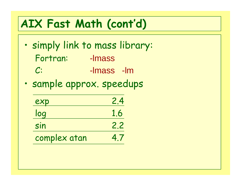#### **AIX Fast Math (cont'd)**

- $\bullet$  simply link to mass library: Fortran: -lmass C: -lmass -lm
- $\bullet$ sample approx. speedups

| exp          | 2.4 |
|--------------|-----|
| log          | 1.6 |
| sin          | 2.2 |
| complex atan | 4.7 |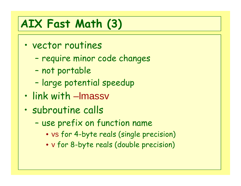### **AIX Fast Math (3)**

- $\bullet$  vector routines
	- –- require minor code changes
	- –not portable
	- –- large potential speedup
- $\bullet$ link with –lmassv
- • subroutine calls
	- –- use prefix on function name
		- v s for 4-byte reals (single precision)
		- v for 8-byte reals (double precision)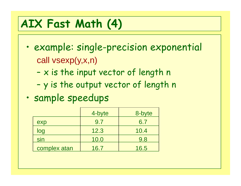### **AIX Fast Math (4)**

- $\bullet$  example: single-precision exponential call vsexp(y,x,n)
	- –-  $\times$  is the input vector of length n
	- –y is the output vector of length n
- •sample speedups

|              | 4-byte | 8-byte |
|--------------|--------|--------|
| exp          | 9.7    | 6.7    |
| log          | 12.3   | 10.4   |
| sin          | 10.0   | 9.8    |
| complex atan | 16.7   | 16.5   |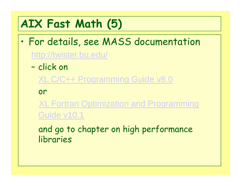#### **AIX Fast Math (5)**

- $\bullet$  For details, see MASS documentation <http://twister.bu.edu/>
	- –- click on
		- [XL C/C++ Programming Guide v8.0](http://twister.bu.edu/pdf/vacpp-8.0/proguide.pdf)

or

[XL Fortran Optimization and Programming](http://twister.bu.edu/pdf/xlf-10.1/opg.pdf)  [Guide v10.1](http://twister.bu.edu/pdf/xlf-10.1/opg.pdf)

and go to chapter on high performance libraries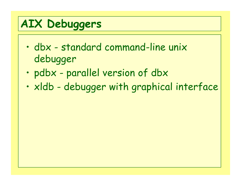# **AIX Debuggers**

- $\bullet$  dbx - standard command-line unix debugger
- •pdbx - parallel version of dbx
- $\bullet$ xldb - debugger with graphical interface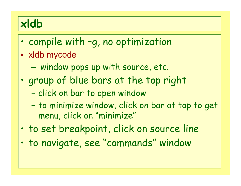#### **xldb**

- $\bullet$ compile with –g, no optimization
- xldb mycode
	- $-$  window pops up with source, etc.
- $\bullet$  group of blue bars at the top right
	- –- click on bar to open window
	- –- to minimize window, click on bar at top to get menu, click on "minimize"
- •to set breakpoint, click on source line
- •to navigate, see "commands" window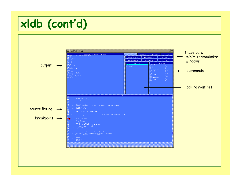#### **xldb (cont'd)**

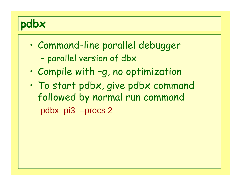

- $\bullet$  Command-line parallel debugger –- parallel version of dbx
- •Compile with –g, no optimization
- • To start pdbx, give pdbx command followed by normal run command pdbx pi3 –procs 2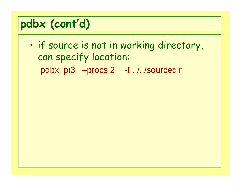#### **pdbx (cont'd)**

 $\bullet$  if source is not in working directory, can specify location: pdbx pi3 –procs 2 -I ../../sourcedir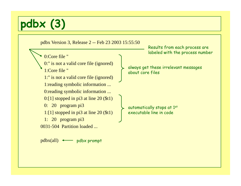### **pdbx (3)**



pdbx(all) pdbx promp<sup>t</sup>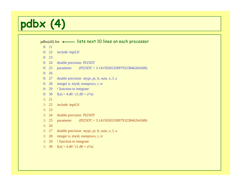#### **pdbx (4)**

pdbx(all) list lists next 10 lines on each processor

- $0: 21$
- 0: 22 include 'mpif.h'
- $0: 23$
- 0: 24 double precision PI25DT
- 0: 25 parameter (PI25DT = 3.141592653589793238462643d0)
- $0: 26$
- 0: 27 double precision mypi, pi, h, sum, x, f, a
- 0: 28 integer n, myid, numprocs, i, rc
- 0: 29 ! function to integrate
- 0: 30  $f(a) = 4 \text{.}d0 / (1 \text{.}d0 + a^*a)$
- 1: 21
- 1: 22 include 'mpif.h'
- 1: 23
- 1: 24 double precision PI25DT
- 1: 25 parameter (PI25DT = 3.141592653589793238462643d0)
- 1: 26
- 1: 27 double precision mypi, pi, h, sum, x, f, a
- 1: 28 integer n, myid, numprocs, i, rc
- 1: 29 ! function to integrate
- 1: 30  $f(a) = 4 \text{.} d0 / (1 \text{.} d0 + a^* a)$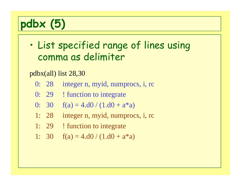### **pdbx (5)**

 $\bullet$  List specified range of lines using comma as delimiter

pdbx(all) list 28,30

- 0: 28 integer n, myid, numprocs, i, rc
- 0: 29 ! function to integrate
- 0: 30  $f(a) = 4 \cdot d0 / (1 \cdot d0 + a^*a)$
- 1: 28 integer n, myid, numprocs, i, rc
- 1: 29 ! function to integrate
- 1: 30  $f(a) = 4 \cdot d0 / (1 \cdot d0 + a^*a)$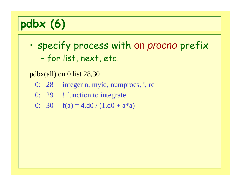### **pdbx (6)**

• specify process with on *procno* prefix –- for list, next, etc.

pdbx(all) on 0 list 28,30

- 0: 28 integer n, myid, numprocs, i, rc
- 0: 29 ! function to integrate
- 0: 30  $f(a) = 4.d0/(1.d0 + a^*a)$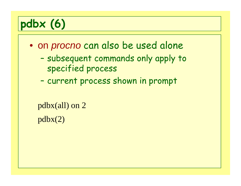### **pdbx (6)**

- $\bullet$  on *procno* can also be used alone
	- – subsequent commands only apply to specified process
	- –- current process shown in prompt

```
pdbx(all) on 2
pdbx(2)
```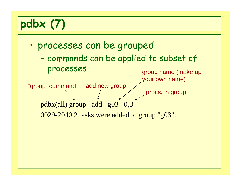## **pdbx (7)**

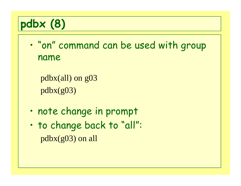

 $\bullet$  "on" command can be used with group name

```
pdbx(all) on g03
pdbx(g03)
```
- •note change in prompt
- • to change back to "all": pdbx(g03) on all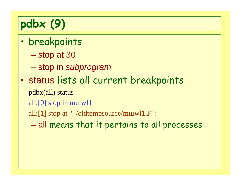# **pdbx (9)**

- $\bullet$  breakpoints
	- stop at 30
	- $\mathcal{L}_{\mathcal{A}}$ stop in *subprogram*
- $\bullet$  status lists all current breakpoints
	- pdbx(all) status
	- all:[0] stop in muiwl1
	- all:[1] stop at "../oldtempsource/muiwl1.F":
		- $\mathcal{L}_{\mathcal{A}}$  , the set of the set of the set of the set of the set of the set of the set of the set of the set of the set of the set of the set of the set of the set of the set of the set of the set of the set of the se all means that it pertains to all processes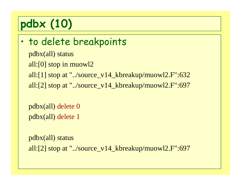# **pdbx (10)**

```
\bullet to delete breakpoints
  pdbx(all) status
  all:[0] stop in muowl2
  all:[1] stop at "../source_v14_kbreakup/muowl2.F":632
  all:[2] stop at "../source_v14_kbreakup/muowl2.F":697
```

```
pdbx(all) delete 0
pdbx(all) delete 1
```

```
pdbx(all) status
all:[2] stop at "../source_v14_kbreakup/muowl2.F":697
```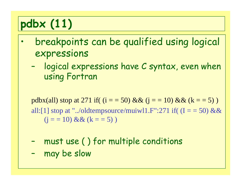# **pdbx (11)**

- $\bullet$  breakpoints can be qualified using logical expressions
	- – logical expressions have C syntax, even when using Fortran

pdbx(all) stop at 271 if(  $(i = 50)$  &&  $(i = 10)$  &&  $(k = 5)$ ) all:[1] stop at "../oldtempsource/muiwl1.F":271 if( $(I = 50)$  &&  $(i = 10)$  &&  $(k = 5)$ )

- –must use ( ) for multiple conditions
- –may be slow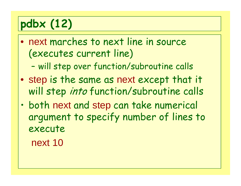## **pdbx (12)**

- $\bullet$  next marches to next line in source (executes current line)
	- –will step over function/subroutine calls
- $\bullet$  step is the same as next except that it will step *into* function/subroutine calls
- • both next and step can take numerical argument to specify number of lines to execute

next 10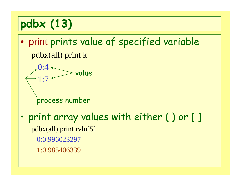# **pdbx (13)**

- $\bullet$  print prints value of specified variable pdbx(all) print k
	- 0:41:7process number value
- • print array values with either ( ) or [ ] pdbx(all) print rvlu[5] 0:0.996023297 1:0.985406339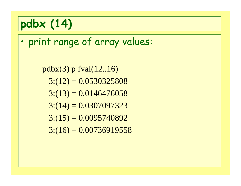#### **pdbx (14)**

 $\bullet$ print range of array values:

> $pdbx(3)$  p fval $(12..16)$  $3:(12) = 0.0530325808$  $3:(13) = 0.0146476058$  $3:(14) = 0.0307097323$  $3:(15) = 0.0095740892$  $3:(16) = 0.00736919558$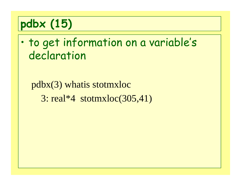### **pdbx (15)**

• to get information on a variable's declaration

#### pdbx(3) whatis stotmxloc  $3: real*4 *stotmxloc*(305,41)$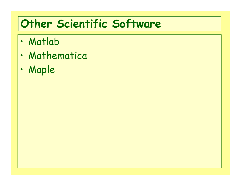#### **Other Scientific Software**

- •Matlab
- •Mathematica
- •Maple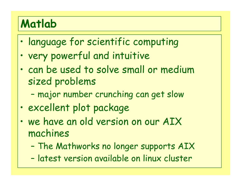#### **Matlab**

- •language for scientific computing
- •. very powerful and intuitive
- • can be used to solve small or medium sized problems
	- –major number crunching can get slow
- •excellent plot package
- •• we have an old version on our AIX machines
	- –The Mathworks no longer supports AIX
	- –latest version available on linux cluster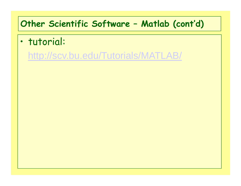## **Other Scientific Software – Matlab (cont'd)**

- • tutorial:
	- <http://scv.bu.edu/Tutorials/MATLAB/>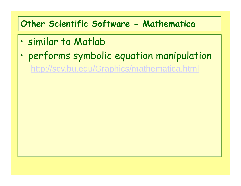## **Other Scientific Software - Mathematica**

- •similar to Matlab
- •performs symbolic equation manipulation

<http://scv.bu.edu/Graphics/mathematica.html>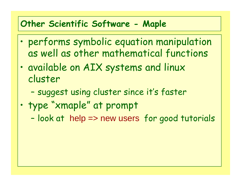## **Other Scientific Software - Maple**

- • performs symbolic equation manipulation as well as other mathematical functions
- • available on AIX systems and linux cluster
	- –suggest using cluster since it's faster
- • type "xmaple" at prompt
	- –- look at help => new users for good tutorials